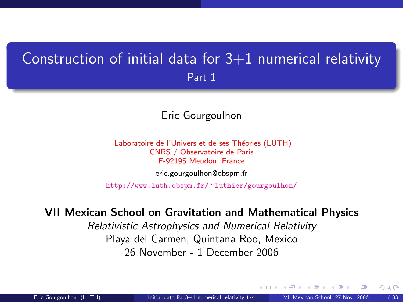## Construction of initial data for  $3+1$  numerical relativity Part 1

### Eric Gourgoulhon

Laboratoire de l'Univers et de ses Théories (LUTH) CNRS / Observatoire de Paris F-92195 Meudon, France [eric.gourgoulhon@obspm.fr](mailto:eric.gourgoulhon@obspm.fr)

[http://www.luth.obspm.fr/](http://www.luth.obspm.fr/~luthier/gourgoulhon/)∼luthier/gourgoulhon/

#### VII Mexican School on Gravitation and Mathematical Physics

Relativistic Astrophysics and Numerical Relativity Playa del Carmen, Quintana Roo, Mexico 26 November - 1 December 2006

<span id="page-0-0"></span>a mills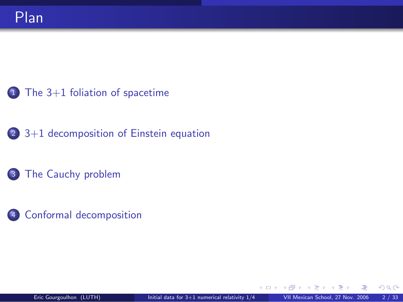[3+1 decomposition of Einstein equation](#page-21-0)

[The Cauchy problem](#page-30-0)

[Conformal decomposition](#page-36-0)

そロト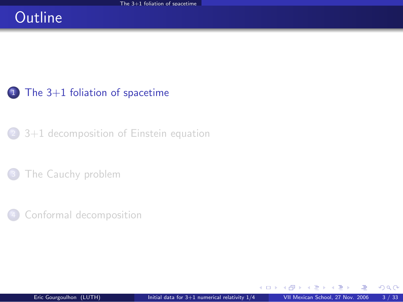# **Outline**

### $1$  [The 3+1 foliation of spacetime](#page-2-0)

<sup>2</sup> [3+1 decomposition of Einstein equation](#page-21-0)

[The Cauchy problem](#page-30-0)

[Conformal decomposition](#page-36-0)

4. 0. 3.

<span id="page-2-0"></span> $298$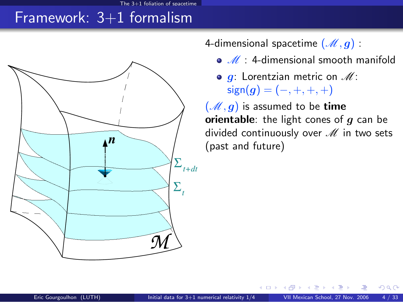## Framework:  $3+1$  formalism



4-dimensional spacetime  $(\mathcal{M}, g)$ :

- $\bullet$   $\mathscr{M}$  : 4-dimensional smooth manifold
- $\bullet$  g: Lorentzian metric on  $\mathscr{M}$ :  $sign(g) = (-, +, +, +)$

<span id="page-3-0"></span> $(\mathcal{M}, g)$  is assumed to be time orientable: the light cones of  $g$  can be divided continuously over  $M$  in two sets (past and future)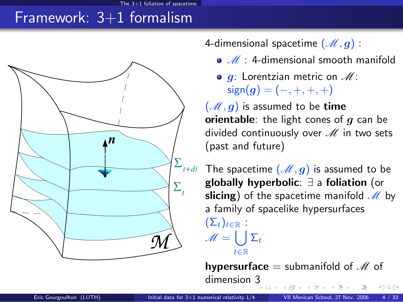# Framework:  $3+1$  formalism



4-dimensional spacetime  $(M, q)$ :

- $\bullet$   $\mathscr{M}$  : 4-dimensional smooth manifold
- $\bullet$  g: Lorentzian metric on  $\mathscr{M}$ :  $sign(g) = (-, +, +, +)$

 $(\mathcal{M}, g)$  is assumed to be time orientable: the light cones of  $q$  can be divided continuously over  $M$  in two sets (past and future)

The spacetime  $(\mathcal{M}, g)$  is assumed to be globally hyperbolic: ∃ a foliation (or slicing) of the spacetime manifold  $\mathcal{M}$  by a family of spacelike hypersurfaces  $(\Sigma_t)_{t\in\mathbb{R}}$  :  $\mathscr{M} = \left\lfloor \ \right\rfloor \Sigma_t$ t∈R

**hypersurface** = submanifold of  $M$  of dimension  $3 \rightarrow 6$  $QQ$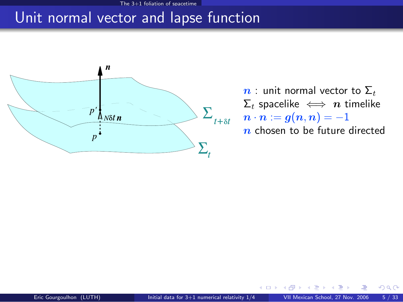### Unit normal vector and lapse function



 $n:$  unit normal vector to  $\Sigma_t$  $\Sigma_t$  spacelike  $\iff n$  timelike  $n \cdot n := g(n,n) = -1$  $n$  chosen to be future directed

つへへ

4 0 8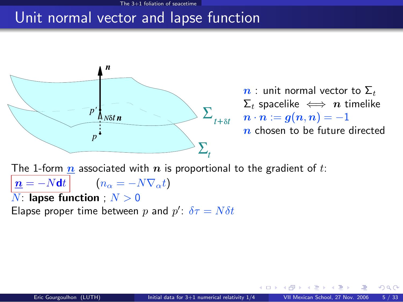### Unit normal vector and lapse function



 $n:$  unit normal vector to  $\Sigma_t$  $\Sigma_t$  spacelike  $\iff n$  timelike  $n \cdot n := g(n,n) = -1$  $n$  chosen to be future directed

 $\Omega$ 

The 1-form  $n$  associated with  $n$  is proportional to the gradient of t:  $n = -Ndt$   $(n_{\alpha} = -N\nabla_{\alpha}t)$  $N:$  lapse function ;  $N > 0$ 

Elapse proper time between p and  $p'$ :  $\delta \tau = N \delta t$ 

4 **D F**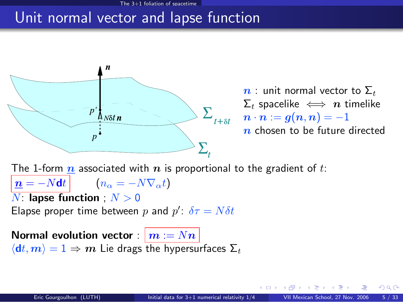### Unit normal vector and lapse function



 $n:$  unit normal vector to  $\Sigma_t$  $\Sigma_t$  spacelike  $\iff n$  timelike  $n \cdot n := g(n,n) = -1$  $n$  chosen to be future directed

The 1-form  $n$  associated with  $n$  is proportional to the gradient of t:  $n = -Ndt$   $(n_{\alpha} = -N\nabla_{\alpha}t)$  $N:$  lapse function ;  $N > 0$ Elapse proper time between p and  $p'$ :  $\delta \tau = N \delta t$ Normal evolution vector :  $\vert m := Nn \vert$ 

 $\langle dt, m \rangle = 1 \Rightarrow m$  Lie drags the hypersurfaces  $\Sigma_t$ 

 $\cap$   $\cap$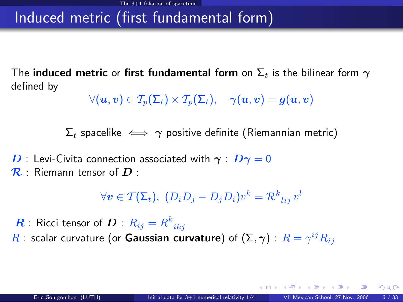# Induced metric (first fundamental form)

The induced metric or first fundamental form on  $\Sigma_t$  is the bilinear form  $\gamma$ defined by

$$
\forall (\boldsymbol{u},\boldsymbol{v}) \in \mathcal{T}_p(\Sigma_t) \times \mathcal{T}_p(\Sigma_t), \quad \gamma(\boldsymbol{u},\boldsymbol{v}) = \boldsymbol{g}(\boldsymbol{u},\boldsymbol{v})
$$

 $\Sigma_t$  spacelike  $\iff \gamma$  positive definite (Riemannian metric)

 $\bm{D}$  : Levi-Civita connection associated with  $\bm{\gamma}$  :  $\bm{D}\bm{\gamma}=0$  $\mathcal{R}$  : Riemann tensor of  $D$  :

$$
\forall \mathbf{v} \in \mathcal{T}(\Sigma_t), \ (D_i D_j - D_j D_i) v^k = \mathcal{R}^k_{\ ij} v^l
$$

 $\boldsymbol{R}$  : Ricci tensor of  $\boldsymbol{D}$  :  $R_{ij} = R^k_{\phantom{k}ikj}$  $R$  : scalar curvature (or **Gaussian curvature**) of  $(\Sigma,\boldsymbol{\gamma})$  :  $R=\gamma^{ij}R_{ij}$ 

 $\cap$   $\cap$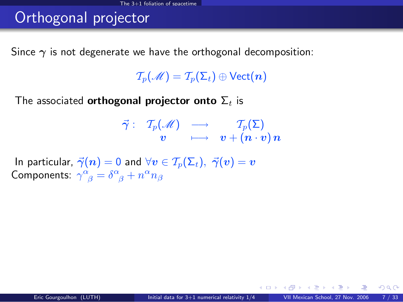# Orthogonal projector

Since  $\gamma$  is not degenerate we have the orthogonal decomposition:

 $\mathcal{T}_{p}(\mathcal{M}) = \mathcal{T}_{p}(\Sigma_{t}) \oplus \text{Vect}(n)$ 

The associated **orthogonal projector onto**  $\Sigma_t$  is

$$
\begin{array}{rrcl}\vec{\gamma} :&\mathcal{T}_p(\mathscr{M})&\longrightarrow&\mathcal{T}_p(\Sigma)\\&v&\longmapsto&\bm{v}+( \bm{n}\cdot\bm{v})\,\bm{n}\end{array}
$$

In particular,  $\vec{\gamma}(n) = 0$  and  $\forall v \in \mathcal{T}_p(\Sigma_t)$ ,  $\vec{\gamma}(v) = v$ Components:  $\gamma^{\alpha}_{\ \beta} = \delta^{\alpha}_{\ \beta} + n^{\alpha} n_{\beta}$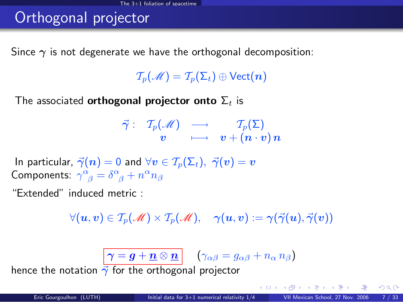# Orthogonal projector

Since  $\gamma$  is not degenerate we have the orthogonal decomposition:

 $\mathcal{T}_n(\mathcal{M}) = \mathcal{T}_n(\Sigma_t) \oplus \text{Vect}(n)$ 

The associated **orthogonal projector onto**  $\Sigma_t$  is

$$
\begin{array}{rrcl}\vec{\gamma} :&\mathcal{T}_p(\mathscr{M})&\longrightarrow&\mathcal{T}_p(\Sigma)\\&v&\longmapsto&\bm{v}+( \bm{n}\cdot\bm{v})\,\bm{n}\end{array}
$$

In particular,  $\vec{\gamma}(n) = 0$  and  $\forall v \in \mathcal{T}_n(\Sigma_t)$ ,  $\vec{\gamma}(v) = v$ Components:  $\gamma^{\alpha}_{\ \beta} = \delta^{\alpha}_{\ \beta} + n^{\alpha} n_{\beta}$ 

"Extended" induced metric :

 $\forall (u, v) \in T_p(\mathcal{M}) \times T_p(\mathcal{M}), \quad \gamma(u, v) := \gamma(\vec{\gamma}(u), \vec{\gamma}(v))$ 

 $\left|\,\boldsymbol{\gamma}=\boldsymbol{g}+\boldsymbol{\underline{n}}\otimes \boldsymbol{\underline{n}}\,\right| \quad \left(\gamma_{\alpha\beta}=g_{\alpha\beta}+n_\alpha\,n_\beta\right)$ 

hence the notation  $\vec{\gamma}$  for the orthogonal projector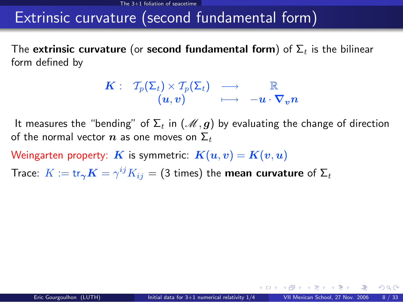### Extrinsic curvature (second fundamental form)

The extrinsic curvature (or second fundamental form) of  $\Sigma_t$  is the bilinear form defined by

$$
\begin{array}{ccccc}K:&\,\, \mathcal{T}_p(\Sigma_t)\times\mathcal{T}_p(\Sigma_t)&\longrightarrow&\mathbb{R}\\ & (u,v)&\longmapsto& -u\cdot\nabla_vn\end{array}
$$

It measures the "bending" of  $\Sigma_t$  in  $(\mathcal{M}, g)$  by evaluating the change of direction of the normal vector  $n$  as one moves on  $\Sigma_t$ 

Weingarten property: K is symmetric:  $K(u, v) = K(v, u)$ 

Trace:  $K := \text{tr}_{\bm{\gamma}}\bm{K} = \gamma^{ij}K_{ij} = (3 \text{ times})$  the mean curvature of  $\bm{\Sigma}_t$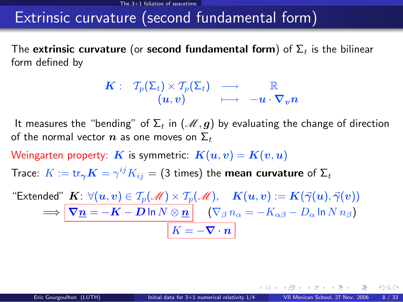### Extrinsic curvature (second fundamental form)

The extrinsic curvature (or second fundamental form) of  $\Sigma_t$  is the bilinear form defined by

$$
\begin{array}{ccccc}K:&\,\, \mathcal{T}_p(\Sigma_t)\times\mathcal{T}_p(\Sigma_t)&\longrightarrow&\mathbb{R}\\ & (u,v)&\longmapsto& -u\cdot\nabla_vn\end{array}
$$

It measures the "bending" of  $\Sigma_t$  in  $(\mathcal{M}, g)$  by evaluating the change of direction of the normal vector  $n$  as one moves on  $\Sigma_t$ 

Weingarten property: K is symmetric:  $K(u, v) = K(v, u)$ 

Trace:  $K := \text{tr}_{\bm{\gamma}}\bm{K} = \gamma^{ij}K_{ij} = (3 \text{ times})$  the mean curvature of  $\bm{\Sigma}_t$ 

"Extended"  $\textbf{\textit{K}}\colon \forall (u,v) \in \mathcal{T}_p(\mathscr{M}) \times \mathcal{T}_p(\mathscr{M}), \quad \textbf{\textit{K}}(u,v) := \textbf{\textit{K}}(\vec{\gamma}(u), \vec{\gamma}(v))$  $\Longrightarrow \big\vert \, \bm{\nabla} \underline{\bm{n}} = -\bm{K} - \bm{D} \ln N \otimes \underline{\bm{n}} \big\vert \quad \left( \nabla_{\beta} \, n_{\alpha} = - K_{\alpha \beta} - D_{\alpha} \ln N \, n_{\beta} \right)$  $K = -\nabla \cdot \boldsymbol{n}$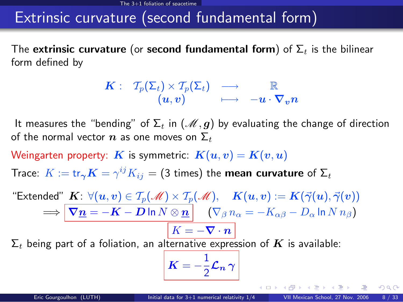### Extrinsic curvature (second fundamental form)

The extrinsic curvature (or second fundamental form) of  $\Sigma_t$  is the bilinear form defined by

$$
\begin{array}{ccccc}K:&\,\, \mathcal{T}_p(\Sigma_t)\times\mathcal{T}_p(\Sigma_t)&\longrightarrow&\mathbb{R}\\ & (u,v)&\longmapsto& -u\cdot\nabla_vn\end{array}
$$

It measures the "bending" of  $\Sigma_t$  in  $(\mathcal{M}, g)$  by evaluating the change of direction of the normal vector  $n$  as one moves on  $\Sigma_t$ 

Weingarten property: K is symmetric:  $K(u, v) = K(v, u)$ 

Trace:  $K := \text{tr}_{\bm{\gamma}}\bm{K} = \gamma^{ij}K_{ij} = (3 \text{ times})$  the mean curvature of  $\bm{\Sigma}_t$ 

"Extended"  $\textbf{\textit{K}}\colon \forall (u,v) \in \mathcal{T}_p(\mathscr{M}) \times \mathcal{T}_p(\mathscr{M}), \quad \textbf{\textit{K}}(u,v) := \textbf{\textit{K}}(\vec{\gamma}(u), \vec{\gamma}(v))$  $\Rightarrow$   $\nabla \underline{n} = -K - D \ln N \otimes \underline{n}$   $(\nabla_{\beta} n_{\alpha} = -K_{\alpha\beta} - D_{\alpha} \ln N n_{\beta})$  $\boxed{K = -\nabla \cdot \bm{n}}$ 

 $\Sigma_t$  being part of a foliation, an alternative expression of K is available:

$$
|\boldsymbol{K}=-\frac{1}{2}\boldsymbol{\mathcal{L}}_{\boldsymbol{n}}\boldsymbol{\gamma}\Big|
$$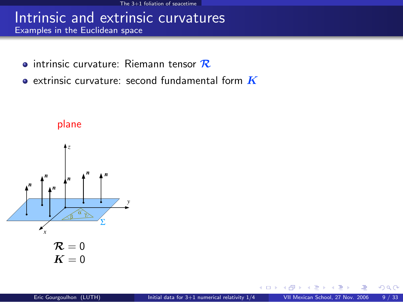### Intrinsic and extrinsic curvatures Examples in the Euclidean space

- $\bullet$  intrinsic curvature: Riemann tensor  $\mathcal R$
- $\bullet$  extrinsic curvature: second fundamental form  $\boldsymbol{K}$



plane

 $299$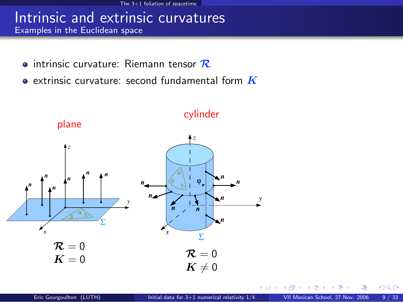### Intrinsic and extrinsic curvatures Examples in the Euclidean space

- $\bullet$  intrinsic curvature: Riemann tensor  $\mathcal R$
- $\bullet$  extrinsic curvature: second fundamental form  $\boldsymbol{K}$



 $\Omega$ 

4 0 8 1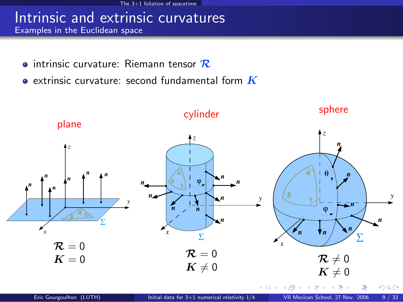### Intrinsic and extrinsic curvatures Examples in the Euclidean space

- $\bullet$  intrinsic curvature: Riemann tensor  $\mathcal R$
- $\bullet$  extrinsic curvature: second fundamental form  $\boldsymbol{K}$

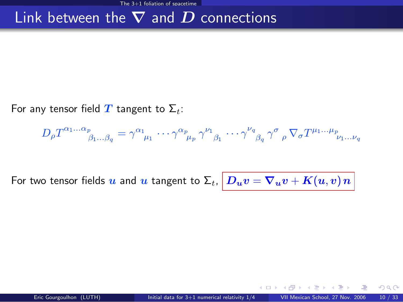## Link between the  $\nabla$  and  $D$  connections

For any tensor field T tangent to  $\Sigma_t$ :

$$
D_{\rho}T^{\alpha_1...\alpha_p}_{\beta_1...\beta_q} = \gamma^{\alpha_1}_{\mu_1} \cdots \gamma^{\alpha_p}_{\mu_p} \gamma^{\nu_1}_{\beta_1} \cdots \gamma^{\nu_q}_{\beta_q} \gamma^{\sigma}_{\rho} \nabla_{\sigma}T^{\mu_1...\mu_p}_{\nu_1...\nu_q}
$$

For two tensor fields  $u$  and  $u$  tangent to  $\Sigma_t, \big|D_u v = \nabla_u v + K(u,v) \, n \, \big|$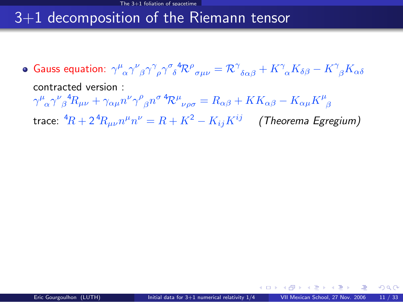# 3+1 decomposition of the Riemann tensor

<span id="page-18-0"></span>Gauss equation:  $\gamma^\mu{}_\alpha\gamma^\nu{}_\beta\gamma^\gamma{}_\rho\gamma^\sigma{}_\delta^4{\cal R}^\rho{}_{\sigma\mu\nu}={\cal R}^\gamma{}_{\delta\alpha\beta}+K^\gamma{}_\alpha K_{\delta\beta}-K^\gamma{}_\beta K_{\alpha\delta}$ contracted version :  $\gamma^\mu{}_\alpha\gamma^\nu{}_\beta{}^4R_{\mu\nu}+\gamma_{\alpha\mu}n^\nu\gamma^\rho{}_\beta n^\sigma\,{}^4\!{\cal R}^\mu{}_{\nu\rho\sigma}=R_{\alpha\beta}+KK_{\alpha\beta}-K_{\alpha\mu}K^\mu{}_\beta$ trace:  ${}^4\! R + 2 {}^4\! R_{\mu\nu} n^\mu n^\nu = R + K^2 - K_{ij} K^{ij} \quad$  (Theorema Egregium)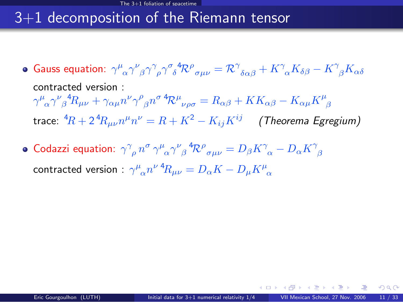# 3+1 decomposition of the Riemann tensor

- Gauss equation:  $\gamma^\mu{}_\alpha\gamma^\nu{}_\beta\gamma^\gamma{}_\rho\gamma^\sigma{}_\delta^4{\cal R}^\rho{}_{\sigma\mu\nu}={\cal R}^\gamma{}_{\delta\alpha\beta}+K^\gamma{}_\alpha K_{\delta\beta}-K^\gamma{}_\beta K_{\alpha\delta}$ contracted version :  $\gamma^\mu{}_\alpha\gamma^\nu{}_\beta{}^4R_{\mu\nu}+\gamma_{\alpha\mu}n^\nu\gamma^\rho{}_\beta n^\sigma\,{}^4\!{\cal R}^\mu{}_{\nu\rho\sigma}=R_{\alpha\beta}+KK_{\alpha\beta}-K_{\alpha\mu}K^\mu{}_\beta$ trace:  ${}^4\! R + 2 {}^4\! R_{\mu\nu} n^\mu n^\nu = R + K^2 - K_{ij} K^{ij} \quad$  (Theorema Egregium)
- Codazzi equation:  $\gamma^\gamma_{\phantom{\gamma}\rho}\,n^\sigma\,\gamma^\mu_{\phantom{\mu}\alpha}\gamma^\nu_{\phantom{\mu}\beta}{}^4\!{\cal R}^\rho_{\phantom{\rho}\sigma\mu\nu}=D_\beta K^\gamma_{\phantom{\gamma}\alpha}-D_\alpha K^\gamma_{\phantom{\gamma}\beta}$ contracted version :  $\gamma^\mu{}_\alpha n^{\nu} \, {}^4\! R_{\mu\nu} = D_\alpha K - D_\mu K^\mu{}_\alpha$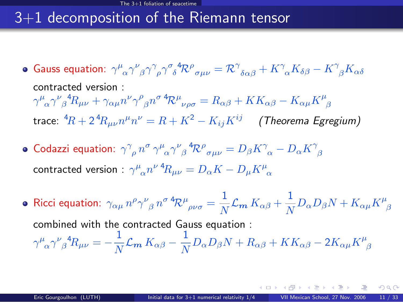# 3+1 decomposition of the Riemann tensor

- Gauss equation:  $\gamma^\mu{}_\alpha\gamma^\nu{}_\beta\gamma^\gamma{}_\rho\gamma^\sigma{}_\delta^4{\cal R}^\rho{}_{\sigma\mu\nu}={\cal R}^\gamma{}_{\delta\alpha\beta}+K^\gamma{}_\alpha K_{\delta\beta}-K^\gamma{}_\beta K_{\alpha\delta}$ contracted version :  $\gamma^\mu{}_\alpha\gamma^\nu{}_\beta{}^4R_{\mu\nu}+\gamma_{\alpha\mu}n^\nu\gamma^\rho{}_\beta n^\sigma\,{}^4\!{\cal R}^\mu{}_{\nu\rho\sigma}=R_{\alpha\beta}+KK_{\alpha\beta}-K_{\alpha\mu}K^\mu{}_\beta$ trace:  ${}^4\! R + 2 {}^4\! R_{\mu\nu} n^\mu n^\nu = R + K^2 - K_{ij} K^{ij} \quad$  (Theorema Egregium)
- Codazzi equation:  $\gamma^\gamma_{\phantom{\gamma}\rho}\,n^\sigma\,\gamma^\mu_{\phantom{\mu}\alpha}\gamma^\nu_{\phantom{\mu}\beta}{}^4\!{\cal R}^\rho_{\phantom{\rho}\sigma\mu\nu}=D_\beta K^\gamma_{\phantom{\gamma}\alpha}-D_\alpha K^\gamma_{\phantom{\gamma}\beta}$ contracted version :  $\gamma^\mu{}_\alpha n^{\nu} \, {}^4\! R_{\mu\nu} = D_\alpha K - D_\mu K^\mu{}_\alpha$
- Ricci equation:  $\gamma_{\alpha\mu} \, n^\rho \gamma^\nu_{\;\; \beta} \, n^{\sigma} \, {}^4\!{\cal R}^\mu_{\;\; \rho\nu\sigma} = \frac{1}{N}$  $\frac{1}{N} \mathcal{L}_{\mathbf{m}} K_{\alpha \beta} + \frac{1}{N}$  $\frac{1}{N} D_{\alpha} D_{\beta} N + K_{\alpha\mu} K^{\mu}_{\ \beta}$ combined with the contracted Gauss equation :  $\gamma^\mu_{\;\;\alpha}\gamma^\nu_{\;\;\beta}{}^4\!R_{\mu\nu}=-\frac{1}{\Lambda^2}$  $\frac{1}{N} {\cal L}_{\bm m} \, K_{\alpha \beta} - \frac{1}{N}$  $\frac{1}{N}D_{\alpha}D_{\beta}N + R_{\alpha\beta} + KK_{\alpha\beta} - 2K_{\alpha\mu}K^{\mu}_{\ \beta}$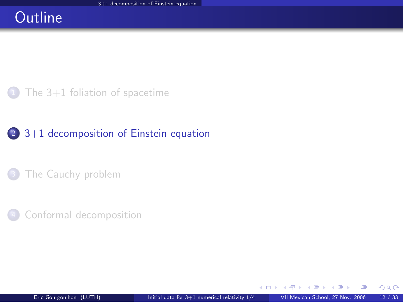## **Outline**

The  $3+1$  foliation of spacetime

### <sup>2</sup> [3+1 decomposition of Einstein equation](#page-21-0)

[The Cauchy problem](#page-30-0)

<span id="page-21-0"></span>[Conformal decomposition](#page-36-0)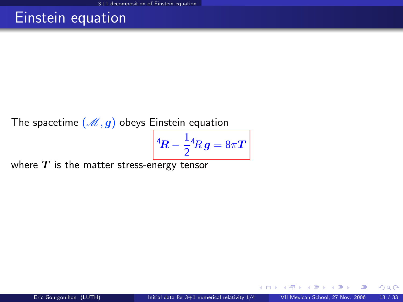## Einstein equation

The spacetime  $(\mathcal{M}, g)$  obeys Einstein equation

$$
{}^4\!R - \frac{1}{2} {}^4\!R\,g = 8\pi T
$$

where  $T$  is the matter stress-energy tensor

つへへ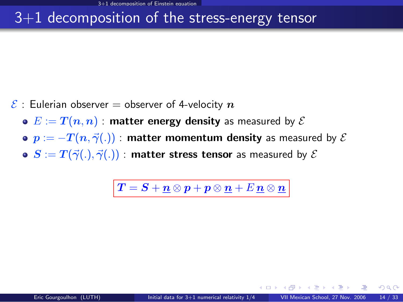## 3+1 decomposition of the stress-energy tensor

- $\mathcal{E}$  : Eulerian observer = observer of 4-velocity  $n$ 
	- $\bullet E := T(n, n)$ : matter energy density as measured by  $\mathcal E$
	- $\bullet$   $p := -T(n, \vec{\gamma}(.))$  : matter momentum density as measured by  $\mathcal E$
	- $\bullet$   $S := T(\vec{\gamma}(.), \vec{\gamma}(.))$  : matter stress tensor as measured by  $\mathcal E$

 $\left|\,\boldsymbol{T}=\boldsymbol{S}+\boldsymbol{\mathit{n}}\otimes \boldsymbol{\mathit{p}}+\boldsymbol{\mathit{p}}\otimes \boldsymbol{\mathit{n}}+\boldsymbol{E}\,\boldsymbol{\mathit{n}}\otimes \boldsymbol{\mathit{n}}\,\right|$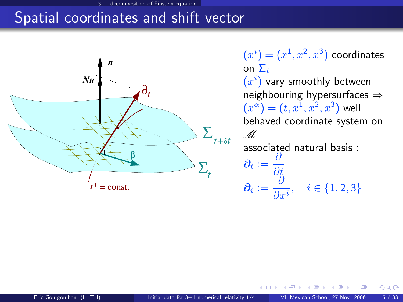#### mposition of Einstein equ

# Spatial coordinates and shift vector



 $(x^{i})=(x^{1},x^{2},x^{3})$  coordinates on  $\Sigma_t$ 

 $(x^{i})$  vary smoothly between neighbouring hypersurfaces ⇒  $(x^{\alpha}) = (t, x^{1}, x^{2}, x^{3})$  well behaved coordinate system on M

associated natural basis :

<span id="page-24-0"></span> $\boldsymbol{\partial_t} := \frac{\partial}{\partial \boldsymbol{\beta}}$ ∂t  $\boldsymbol{\partial_i} := \frac{\partial}{\partial \phi_i}$  $\overline{\frac{\partial}{\partial x^i}}, \quad i \in \{1, 2, 3\}$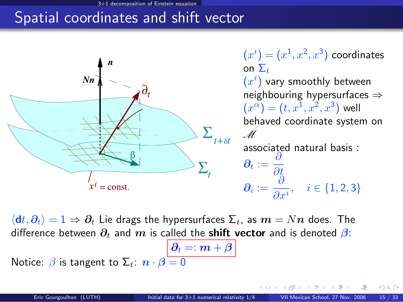#### 3+1 decomposition of Einstein equation

# Spatial coordinates and shift vector



 $(x^{i})=(x^{1},x^{2},x^{3})$  coordinates on  $\Sigma_{\pm}$ 

 $(x^{i})$  vary smoothly between neighbouring hypersurfaces ⇒  $(x^{\alpha}) = (t, x^{1}, x^{2}, x^{3})$  well behaved coordinate system on M associated natural basis :

 $\boldsymbol{\partial_t} := \frac{\partial}{\partial \boldsymbol{\beta}}$ ∂t  $\boldsymbol{\partial_i} := \frac{\partial}{\partial \phi_i}$  $\overline{\frac{\partial}{\partial x^i}}, \quad i \in \{1, 2, 3\}$ 

 $\langle dt, \partial_t \rangle = 1 \Rightarrow \partial_t$  Lie drags the hypersurfaces  $\Sigma_t$ , as  $m = Nn$  does. The difference between  $\partial_t$  and m is called the **shift vector** and is denoted  $\beta$ :

 $\big\vert \, \pmb{\partial}_{t} =: \pmb{m} + \pmb{\beta}$ Notice:  $\beta$  is tangent to  $\Sigma_t$ :  $\mathbf{n} \cdot \mathbf{\beta} = 0$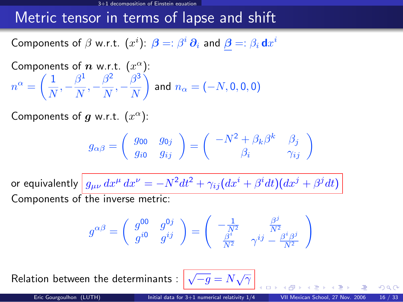### Metric tensor in terms of lapse and shift

Components of  $\beta$  w.r.t.  $(x^i)$ :  $\bm{\beta} =: \beta^i \, \bm{\partial}_i$  and  $\bm{\beta} =: \beta_i \, \mathsf{d} x^i$ 

Components of *n* w.r.t. 
$$
(x^{\alpha})
$$
:  
\n
$$
n^{\alpha} = \left(\frac{1}{N}, -\frac{\beta^1}{N}, -\frac{\beta^2}{N}, -\frac{\beta^3}{N}\right)
$$
 and  $n_{\alpha} = (-N, 0, 0, 0)$ 

Components of  $g$  w.r.t.  $(x^{\alpha})$ :

$$
g_{\alpha\beta}=\left(\begin{array}{cc}g_{00} & g_{0j} \\ g_{i0} & g_{ij}\end{array}\right)=\left(\begin{array}{cc}-N^2+\beta_k\beta^k & \beta_j \\ \beta_i & \gamma_{ij}\end{array}\right)
$$

or equivalently  $\left| \,g_{\mu\nu}\,dx^\mu\,dx^\nu = -N^2 dt^2 + \gamma_{ij}(dx^i + \beta^i dt)(dx^j + \beta^j dt) \right.$ Components of the inverse metric:

$$
g^{\alpha\beta}=\left(\begin{array}{cc}g^{00}&g^{0j}\\g^{i0}&g^{ij}\end{array}\right)=\left(\begin{array}{cc}-\frac{1}{N^2}&\frac{\beta^j}{N^2}\\ \frac{\beta^i}{N^2}&\gamma^{ij}-\frac{\beta^i\beta^j}{N^2}\end{array}\right)
$$

Relation between the determinants :  $\boxed{\sqrt{-g}=N\sqrt{\gamma}}$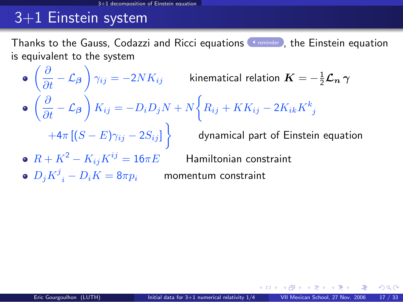# 3+1 Einstein system

Thanks to the Gauss, Codazzi and Ricci equations **Thanks to Einstein equation** is equivalent to the system

- <span id="page-27-0"></span> $\left(\frac{\partial}{\partial t}-\mathcal{L}_{\boldsymbol{\beta}}\right)\gamma_{ij}=-2 N K_{ij}$  kinematical relation  $\boldsymbol{K}=-\frac{1}{2}\boldsymbol{\mathcal{L}_{n}}\,\boldsymbol{\gamma}$  $\left(\frac{\partial}{\partial t} - \mathcal{L}_{\boldsymbol{\beta}}\right)K_{ij} = -D_iD_jN + N\bigg\{R_{ij} + KK_{ij} - 2K_{ik}K_{\ j}^k\bigg\}$  $+4\pi\left[(S-E)\gamma_{ij}-2S_{ij}\right]\bigg\} \qquad$  dynamical part of Einstein equation •  $R + K^2 - K_{ij}K^{ij} = 16\pi E$  Hamiltonian constraint
- $D_j K^j\mathstrut_i D_i K = 8\pi p_i$  momentum constraint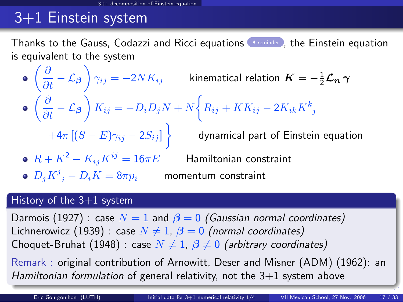# 3+1 Einstein system

Thanks to the Gauss, Codazzi and Ricci equations **Framinder** , the Einstein equation is equivalent to the system

- $\left(\frac{\partial}{\partial t}-\mathcal{L}_{\boldsymbol{\beta}}\right)\gamma_{ij}=-2 N K_{ij}$  kinematical relation  $\boldsymbol{K}=-\frac{1}{2}\boldsymbol{\mathcal{L}}_{\boldsymbol{n}}\,\boldsymbol{\gamma}$  $\left(\frac{\partial}{\partial t} - \mathcal{L}_{\boldsymbol{\beta}}\right)K_{ij} = -D_iD_jN + N\bigg\{R_{ij} + KK_{ij} - 2K_{ik}K_{\ j}^k\bigg\}$  $+4\pi\left[(S-E)\gamma_{ij}-2S_{ij}\right]\bigg\} \qquad$  dynamical part of Einstein equation •  $R + K^2 - K_{ij}K^{ij} = 16\pi E$  Hamiltonian constraint
	- $D_j K^j\mathstrut_i D_i K = 8\pi p_i$  momentum constraint

### History of the  $3+1$  system

Darmois (1927) : case  $N = 1$  and  $\beta = 0$  (Gaussian normal coordinates) Lichnerowicz (1939) : case  $N \neq 1$ ,  $\beta = 0$  (normal coordinates) Choquet-Bruhat (1948) : case  $N \neq 1$ ,  $\beta \neq 0$  (arbitrary coordinates)

Remark : original contribution of Arnowitt, Deser and Misner (ADM) (1962): an Hamiltonian formulation of general relativity, not the  $3+1$  system above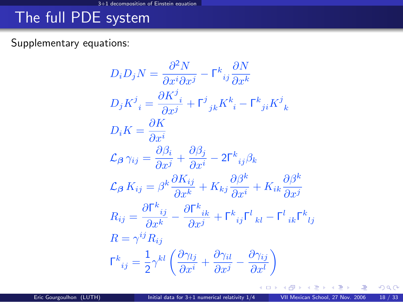# The full PDE system

### Supplementary equations:

$$
D_i D_j N = \frac{\partial^2 N}{\partial x^i \partial x^j} - \Gamma^k_{ij} \frac{\partial N}{\partial x^k}
$$
  
\n
$$
D_j K^j_{\phantom{j}i} = \frac{\partial K^j_{\phantom{j}i}}{\partial x^j} + \Gamma^j_{\phantom{j}jk} K^k_{\phantom{k}i} - \Gamma^k_{\phantom{k}ji} K^j_{\phantom{k}k}
$$
  
\n
$$
D_i K = \frac{\partial K}{\partial x^i}
$$
  
\n
$$
\mathcal{L}_{\beta} \gamma_{ij} = \frac{\partial \beta_i}{\partial x^j} + \frac{\partial \beta_j}{\partial x^i} - 2\Gamma^k_{\phantom{k}ij} \beta_k
$$
  
\n
$$
\mathcal{L}_{\beta} K_{ij} = \beta^k \frac{\partial K_{ij}}{\partial x^k} + K_{kj} \frac{\partial \beta^k}{\partial x^i} + K_{ik} \frac{\partial \beta^k}{\partial x^j}
$$
  
\n
$$
R_{ij} = \frac{\partial \Gamma^k_{\phantom{k}ij}}{\partial x^k} - \frac{\partial \Gamma^k_{\phantom{k}ik}}{\partial x^j} + \Gamma^k_{\phantom{k}ij} \Gamma^l_{\phantom{l}kl} - \Gamma^l_{\phantom{l}ik} \Gamma^k_{\phantom{l}lj}
$$
  
\n
$$
R = \gamma^{ij} R_{ij}
$$
  
\n
$$
\Gamma^k_{\phantom{k}ij} = \frac{1}{2} \gamma^{kl} \left( \frac{\partial \gamma_{lj}}{\partial x^i} + \frac{\partial \gamma_{il}}{\partial x^j} - \frac{\partial \gamma_{ij}}{\partial x^l} \right)
$$

メロト メ都 トメ ミトメ

 $299$ 

哇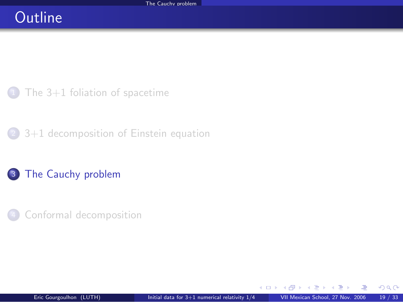## **Outline**

The  $3+1$  foliation of spacetime

<sup>2</sup> [3+1 decomposition of Einstein equation](#page-21-0)

### 3 [The Cauchy problem](#page-30-0)

<span id="page-30-0"></span>[Conformal decomposition](#page-36-0)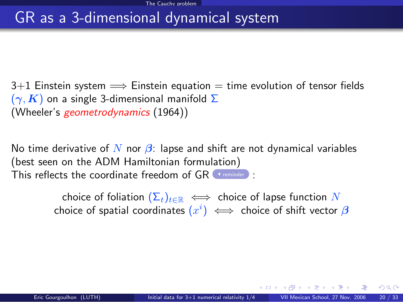### GR as a 3-dimensional dynamical system

 $3+1$  Einstein system  $\implies$  Einstein equation  $=$  time evolution of tensor fields  $(\gamma, K)$  on a single 3-dimensional manifold  $\Sigma$ (Wheeler's geometrodynamics (1964))

No time derivative of N nor  $\beta$ : lapse and shift are not dynamical variables (best seen on the ADM Hamiltonian formulation) This reflects the coordinate freedom of  $GR$  (st[reminder](#page-24-0)):

> choice of foliation  $(\Sigma_t)_{t\in\mathbb{R}} \iff$  choice of lapse function N choice of spatial coordinates  $(x^i) \iff$  choice of shift vector  $\boldsymbol{\beta}$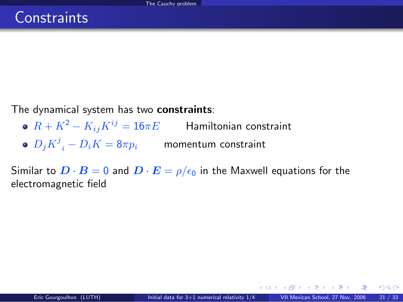The dynamical system has two constraints:

- $R + K^2 K_{ij}K^{ij} = 16\pi E$  Hamiltonian constraint
- $D_j K^j\mathstrut_i D_i K = 8\pi p_i$  momentum constraint

Similar to  $\mathbf{D} \cdot \mathbf{B} = 0$  and  $\mathbf{D} \cdot \mathbf{E} = \rho/\epsilon_0$  in the Maxwell equations for the electromagnetic field

メロト メ何ト メミト メミト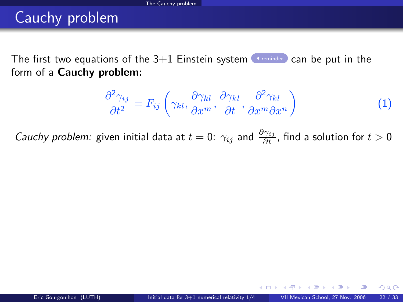# Cauchy problem

The first two equations of the  $3+1$  Einstein system [reminder](#page-27-0) can be put in the form of a Cauchy problem:

<span id="page-33-0"></span>
$$
\frac{\partial^2 \gamma_{ij}}{\partial t^2} = F_{ij} \left( \gamma_{kl}, \frac{\partial \gamma_{kl}}{\partial x^m}, \frac{\partial \gamma_{kl}}{\partial t}, \frac{\partial^2 \gamma_{kl}}{\partial x^m \partial x^n} \right)
$$
(1)

*Cauchy problem:* given initial data at  $t=0$ :  $\gamma_{ij}$  and  $\frac{\partial \gamma_{ij}}{\partial t}$ , find a solution for  $t>0$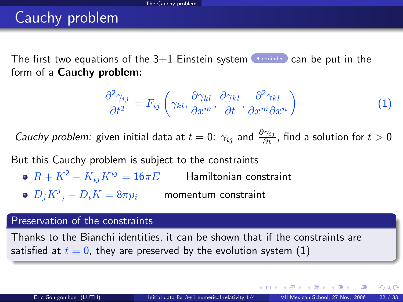# Cauchy problem

The first two equations of the  $3+1$  Einstein system [reminder](#page-27-0) can be put in the form of a Cauchy problem:

$$
\frac{\partial^2 \gamma_{ij}}{\partial t^2} = F_{ij} \left( \gamma_{kl}, \frac{\partial \gamma_{kl}}{\partial x^m}, \frac{\partial \gamma_{kl}}{\partial t}, \frac{\partial^2 \gamma_{kl}}{\partial x^m \partial x^n} \right)
$$
(1)

*Cauchy problem:* given initial data at  $t=0$ :  $\gamma_{ij}$  and  $\frac{\partial \gamma_{ij}}{\partial t}$ , find a solution for  $t>0$ 

But this Cauchy problem is subject to the constraints

- $R + K^2 K_{ij}K^{ij} = 16\pi E$  Hamiltonian constraint
- $D_j K^j\mathstrut_i D_i K = 8\pi p_i$  momentum constraint

#### Preservation of the constraints

Thanks to the Bianchi identities, it can be shown that if the constraints are satisfied at  $t = 0$ , they are preserved by the evolution system [\(1\)](#page-33-0)

 $\Omega$ 

イロト イ押ト イヨト イヨトー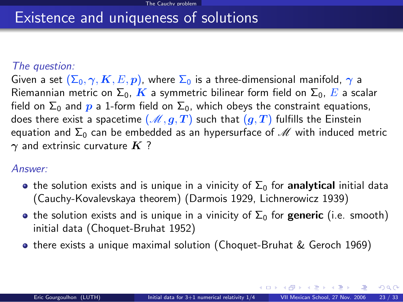### Existence and uniqueness of solutions

#### The question:

Given a set  $(\Sigma_0, \gamma, K, E, p)$ , where  $\Sigma_0$  is a three-dimensional manifold,  $\gamma$  a Riemannian metric on  $\Sigma_0$ , K a symmetric bilinear form field on  $\Sigma_0$ , E a scalar field on  $\Sigma_0$  and p a 1-form field on  $\Sigma_0$ , which obeys the constraint equations, does there exist a spacetime  $(M, g, T)$  such that  $(g, T)$  fulfills the Einstein equation and  $\Sigma_0$  can be embedded as an hypersurface of  $\mathcal M$  with induced metric  $\gamma$  and extrinsic curvature  $K$  ?

### Answer:

- **•** the solution exists and is unique in a vinicity of  $\Sigma_0$  for **analytical** initial data (Cauchy-Kovalevskaya theorem) (Darmois 1929, Lichnerowicz 1939)
- the solution exists and is unique in a vinicity of  $\Sigma_0$  for generic (i.e. smooth) initial data (Choquet-Bruhat 1952)
- o there exists a unique maximal solution (Choquet-Bruhat & Geroch 1969)

メロト メ何ト メミト メミト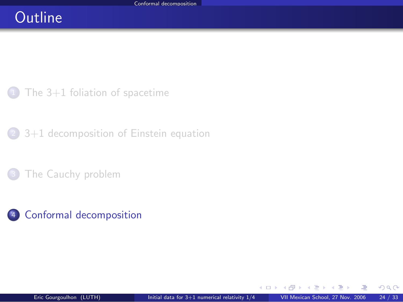# **Outline**

The  $3+1$  foliation of spacetime

<sup>2</sup> [3+1 decomposition of Einstein equation](#page-21-0)

[The Cauchy problem](#page-30-0)

### <sup>4</sup> [Conformal decomposition](#page-36-0)

∍  $\sim$  <span id="page-36-0"></span> $299$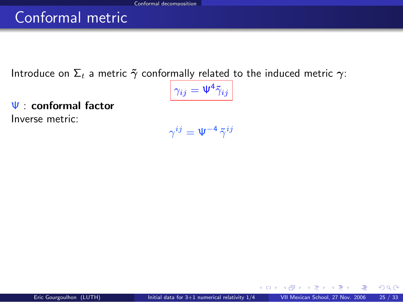# Conformal metric

Introduce on  $\Sigma_t$  a metric  $\tilde{\gamma}$  conformally related to the induced metric  $\gamma$ :

$$
\gamma_{ij}=\Psi^4\tilde{\gamma}_{ij}
$$

Ψ : conformal factor Inverse metric:

 $\gamma^{ij}=\Psi^{-4}\,\tilde{\gamma}^{ij}$ 

 $\left\{ \begin{array}{ccc} \square & \rightarrow & \left\{ \bigcap \mathbb{P} \right\} & \left\{ \begin{array}{ccc} \square & \rightarrow & \left\{ \end{array} \right\} \end{array} \right.$ 

 $299$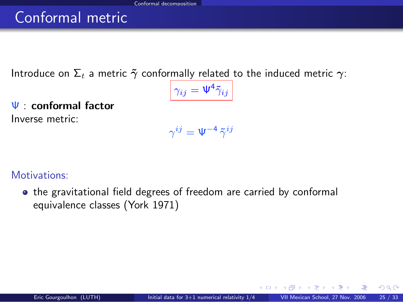# Conformal metric

Introduce on  $\Sigma_t$  a metric  $\tilde{\gamma}$  conformally related to the induced metric  $\gamma$ :

$$
\gamma_{ij}=\Psi^4\tilde{\gamma}_{ij}
$$

Ψ : conformal factor Inverse metric:

$$
\gamma^{ij}=\Psi^{-4}\,\tilde{\gamma}^{ij}
$$

Motivations:

• the gravitational field degrees of freedom are carried by conformal equivalence classes (York 1971)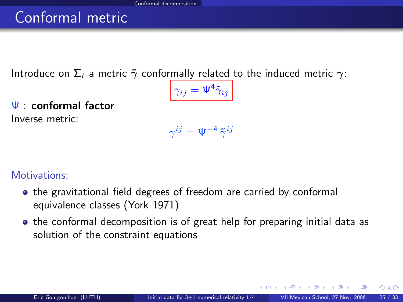# Conformal metric

Introduce on  $\Sigma_t$  a metric  $\tilde{\gamma}$  conformally related to the induced metric  $\gamma$ :

$$
\gamma_{ij}=\Psi^4\tilde{\gamma}_{ij}
$$

Ψ : conformal factor Inverse metric:

 $\gamma^{ij}=\Psi^{-4}\,\tilde{\gamma}^{ij}$ 

Motivations:

- the gravitational field degrees of freedom are carried by conformal equivalence classes (York 1971)
- the conformal decomposition is of great help for preparing initial data as solution of the constraint equations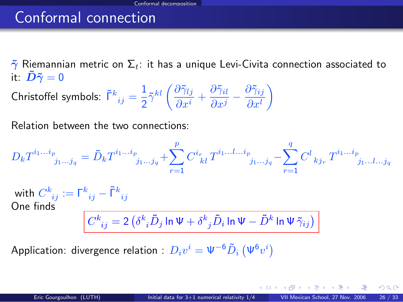# Conformal connection

 $\tilde{\gamma}$  Riemannian metric on  $\Sigma_t$ : it has a unique Levi-Civita connection associated to it:  $\tilde{\bm{D}}\tilde{\bm{\gamma}}=0$ 

Christoffel symbols:  $\tilde{\mathsf{\Gamma}}^{k}_{\ ij}=\frac{1}{2}$  $\frac{1}{2}\tilde{\gamma}^{kl} \left(\frac{\partial \tilde{\gamma}_{lj}}{\partial x^{i}}\right)$  $\frac{\partial \tilde{\gamma}_{lj}}{\partial x^{i}} + \frac{\partial \tilde{\gamma}_{il}}{\partial x^{j}}$  $\frac{\partial \tilde{\gamma}_{il}}{\partial x^j} - \frac{\partial \tilde{\gamma}_{ij}}{\partial x^l}$  $\partial x^l$ λ

Relation between the two connections:

$$
D_k T^{i_1...i_p}_{j_1...j_q} = \tilde{D}_k T^{i_1...i_p}_{j_1...j_q} + \sum_{r=1}^p C^{i_r}_{\ \ kl} T^{i_1...l...i_p}_{j_1...j_q} - \sum_{r=1}^q C^l_{\ \ kj_r} T^{i_1...i_p}_{j_1...l...j_q}
$$
  
with 
$$
C^k_{\ ij} := \Gamma^k_{\ ij} - \tilde{\Gamma}^k_{\ ij}
$$
  
One finds  

$$
C^k_{\ ij} = 2 \left( \delta^k_{\ i} \tilde{D}_j \ln \Psi + \delta^k_{\ j} \tilde{D}_i \ln \Psi - \tilde{D}^k \ln \Psi \tilde{\gamma}_{ij} \right)
$$

Application: divergence relation :  $D_i v^i = \Psi^{-6} \tilde{D}_i \left( \Psi^{6} v^i \right)$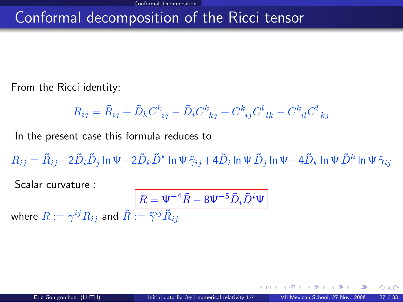# Conformal decomposition of the Ricci tensor

From the Ricci identity:

$$
R_{ij} = \tilde{R}_{ij} + \tilde{D}_k C^k_{\ \ ij} - \tilde{D}_i C^k_{\ \ kj} + C^k_{\ \ ij} C^l_{\ \ lk} - C^k_{\ \ il} C^l_{\ \ kj}
$$

In the present case this formula reduces to

 $R_{ij}=\tilde{R}_{ij}-2\tilde{D}_i\tilde{D}_j$  In  $\Psi-2\tilde{D}_k\tilde{D}^k$  In  $\Psi\,\tilde{\gamma}_{ij}+4\tilde{D}_i$  In  $\Psi\,\tilde{D}_j$  In  $\Psi-4\tilde{D}_k$  In  $\Psi\,\tilde{D}^k$  In  $\Psi\,\tilde{\gamma}_{ij}$ 

Scalar curvature :

<span id="page-41-0"></span>
$$
\boxed{R=\Psi^{-4}\tilde{R}-8\Psi^{-5}\tilde{D}_i\tilde{D}^i\Psi}
$$
 where  $R:=\gamma^{ij}R_{ij}$  and  $\tilde{R}:=\tilde{\gamma}^{ij}\tilde{R}_{ij}$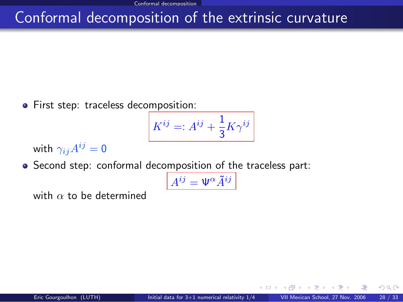# Conformal decomposition of the extrinsic curvature

**•** First step: traceless decomposition:

$$
K^{ij}=:A^{ij}+\frac{1}{3}K\gamma^{ij}
$$

with  $\gamma_{ij}A^{ij}=0$ 

Second step: conformal decomposition of the traceless part:

$$
A^{ij} = \Psi^{\alpha} \tilde{A}^{ij}
$$

with  $\alpha$  to be determined

ຕα∩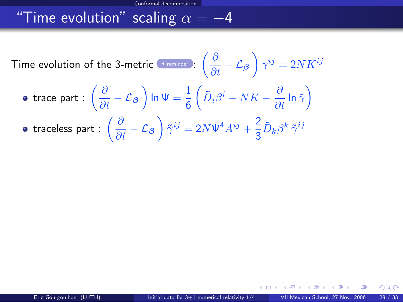# "Time evolution" scaling  $\alpha = -4$

Time evolution of the 3-metric  $\frac{c \cdot \text{remainder}}{\epsilon}$  :  $\left(\frac{\partial}{\partial t} - \mathcal{L}_{\boldsymbol{\beta}}\right) \gamma^{ij} = 2 N K^{ij}$ trace part :  $\left(\frac{\partial}{\partial t} - \mathcal{L}_{\boldsymbol{\beta}} \right)$  In  $\Psi = \frac{1}{6}$  $\left( \tilde{D}_i \beta^i - NK - \frac{\partial}{\partial t} \ln \tilde{\gamma} \right)$ traceless part :  $\left(\frac{\partial}{\partial t} - \mathcal{L}_{\boldsymbol{\beta}}\right) \tilde{\gamma}^{ij} = 2N \Psi^4 A^{ij} + \frac{2}{3}$  $\frac{\epsilon}{3} \tilde{D}_k \beta^k \, \tilde{\gamma}^{ij}$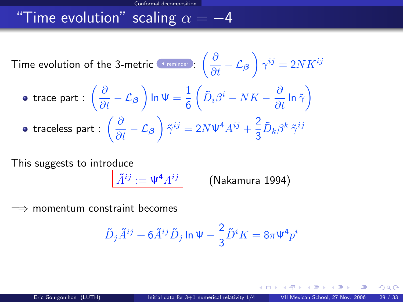# "Time evolution" scaling  $\alpha = -4$

Time evolution of the 3-metric  $\frac{c \cdot \text{remainder}}{\epsilon}$  :  $\left(\frac{\partial}{\partial t} - \mathcal{L}_{\boldsymbol{\beta}}\right) \gamma^{ij} = 2 N K^{ij}$ trace part :  $\left(\frac{\partial}{\partial t} - \mathcal{L}_{\boldsymbol{\beta}} \right)$  In  $\Psi = \frac{1}{6}$  $\left( \tilde{D}_i \beta^i - NK - \frac{\partial}{\partial t} \ln \tilde{\gamma} \right)$ traceless part :  $\left(\frac{\partial}{\partial t} - \mathcal{L}_{\boldsymbol{\beta}}\right) \tilde{\gamma}^{ij} = 2N \Psi^4 A^{ij} + \frac{2}{3}$  $\frac{\epsilon}{3} \tilde{D}_k \beta^k \, \tilde{\gamma}^{ij}$ 

This suggests to introduce

 $\tilde{A}^{ij} := \Psi^4 A^{ij}$ 

(Nakamura 1994)

momentum constraint becomes

$$
\tilde{D}_j \tilde{A}^{ij} + 6 \tilde{A}^{ij} \tilde{D}_j \ln \Psi - \frac{2}{3} \tilde{D}^i K = 8\pi \Psi^4 p^i
$$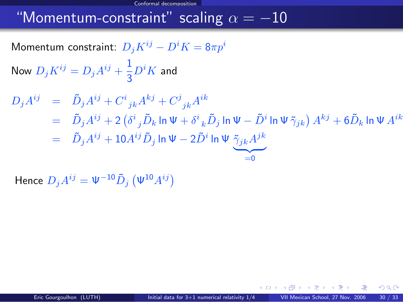#### Conformal decomposition

### "Momentum-constraint" scaling  $\alpha = -10$

Momentum constraint:  $D_i K^{ij} - D^i K = 8\pi p^i$ 

Now  $D_j K^{ij} = D_j A^{ij} + \frac{1}{2}$  $rac{1}{3}D^iK$  and

$$
D_j A^{ij} = \tilde{D}_j A^{ij} + C^i{}_{jk} A^{kj} + C^j{}_{jk} A^{ik}
$$
  
= 
$$
\tilde{D}_j A^{ij} + 2 \left( \delta^i{}_j \tilde{D}_k \ln \Psi + \delta^i{}_k \tilde{D}_j \ln \Psi - \tilde{D}^i \ln \Psi \tilde{\gamma}_{jk} \right) A^{kj} + 6 \tilde{D}_k \ln \Psi A^{ik}
$$
  
= 
$$
\tilde{D}_j A^{ij} + 10 A^{ij} \tilde{D}_j \ln \Psi - 2 \tilde{D}^i \ln \Psi \underbrace{\tilde{\gamma}_{jk} A^{jk}}_{=0}
$$

Hence  $D_j A^{ij} = \Psi^{-10} \tilde{D}_j \left( \Psi^{10} A^{ij} \right)$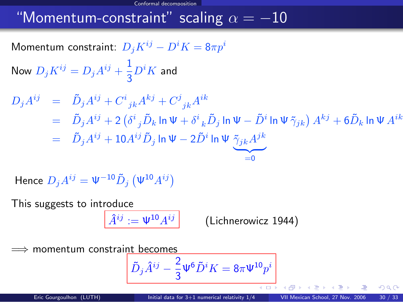#### Conformal decomposition

## "Momentum-constraint" scaling  $\alpha = -10$

Momentum constraint:  $D_i K^{ij} - D^i K = 8\pi p^i$ 

Now  $D_j K^{ij} = D_j A^{ij} + \frac{1}{2}$  $rac{1}{3}D^iK$  and

$$
D_j A^{ij} = \tilde{D}_j A^{ij} + C^i{}_{jk} A^{kj} + C^j{}_{jk} A^{ik}
$$
  
= 
$$
\tilde{D}_j A^{ij} + 2 \left( \delta^i{}_j \tilde{D}_k \ln \Psi + \delta^i{}_k \tilde{D}_j \ln \Psi - \tilde{D}^i \ln \Psi \tilde{\gamma}_{jk} \right) A^{kj} + 6 \tilde{D}_k \ln \Psi A^{ik}
$$
  
= 
$$
\tilde{D}_j A^{ij} + 10 A^{ij} \tilde{D}_j \ln \Psi - 2 \tilde{D}^i \ln \Psi \underbrace{\tilde{\gamma}_{jk} A^{jk}}_{=0}
$$

Hence  $D_j A^{ij} = \Psi^{-10} \tilde{D}_j \left( \Psi^{10} A^{ij} \right)$ 

This suggests to introduce

$$
\widehat{A}^{ij} := \Psi^{10} A^{ij} \qquad \qquad \text{(Lichnerowicz 1944)}
$$

momentum constraint becomes

$$
\tilde{D}_j\hat{A}^{ij}-\frac{2}{3}\Psi^6\tilde{D}^iK=8\pi\Psi^{10}p^i
$$

400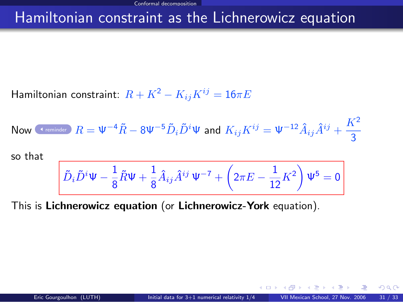### Hamiltonian constraint as the Lichnerowicz equation

Hamiltonian constraint:  $R + K^2 - K_{ij}K^{ij} = 16\pi E$ 

Now (1.2.2) Show that 
$$
R = \Psi^{-4}\tilde{R} - 8\Psi^{-5}\tilde{D}_i\tilde{D}^i\Psi
$$
 and  $K_{ij}K^{ij} = \Psi^{-12}\hat{A}_{ij}\hat{A}^{ij} + \frac{K^2}{3}$ 

so that

$$
\tilde{D}_i\tilde{D}^i\Psi-\frac{1}{8}\tilde{R}\Psi+\frac{1}{8}\hat{A}_{ij}\hat{A}^{ij}\,\Psi^{-7}+\left(2\pi E-\frac{1}{12}K^2\right)\Psi^5=0
$$

This is Lichnerowicz equation (or Lichnerowicz-York equation).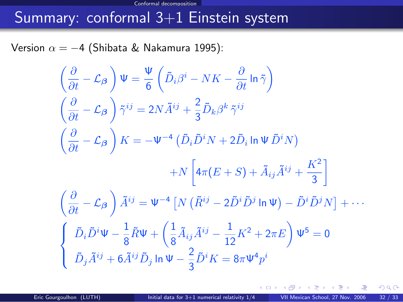#### Conformal decomposition

# Summary: conformal 3+1 Einstein system

Version  $\alpha = -4$  (Shibata & Nakamura 1995):

$$
\left(\frac{\partial}{\partial t} - \mathcal{L}_{\beta}\right) \Psi = \frac{\Psi}{6} \left(\tilde{D}_{i}\beta^{i} - NK - \frac{\partial}{\partial t} \ln \tilde{\gamma}\right)
$$
  

$$
\left(\frac{\partial}{\partial t} - \mathcal{L}_{\beta}\right) \tilde{\gamma}^{ij} = 2N \tilde{A}^{ij} + \frac{2}{3} \tilde{D}_{k}\beta^{k} \tilde{\gamma}^{ij}
$$
  

$$
\left(\frac{\partial}{\partial t} - \mathcal{L}_{\beta}\right) K = -\Psi^{-4} \left(\tilde{D}_{i}\tilde{D}^{i}N + 2\tilde{D}_{i} \ln \Psi \tilde{D}^{i}N\right)
$$

$$
+ N \left[4\pi (E + S) + \tilde{A}_{ij}\tilde{A}^{ij} + \frac{K^{2}}{3}\right]
$$
  

$$
\left(\frac{\partial}{\partial t} - \mathcal{L}_{\beta}\right) \tilde{A}^{ij} = \Psi^{-4} \left[N \left(\tilde{R}^{ij} - 2\tilde{D}^{i}\tilde{D}^{j} \ln \Psi\right) - \tilde{D}^{i}\tilde{D}^{j}N\right] + \cdots
$$
  

$$
\left\{\begin{array}{l} \tilde{D}_{i}\tilde{D}^{i}\Psi - \frac{1}{8}\tilde{R}\Psi + \left(\frac{1}{8}\tilde{A}_{ij}\tilde{A}^{ij} - \frac{1}{12}K^{2} + 2\pi E\right)\Psi^{5} = 0\\ \tilde{D}_{j}\tilde{A}^{ij} + 6\tilde{A}^{ij}\tilde{D}_{j} \ln \Psi - \frac{2}{3}\tilde{D}^{i}K = 8\pi \Psi^{4}p^{i}
$$

 $\left\{ \begin{array}{ccc} \square & \rightarrow & \left\{ \bigcap \mathbb{P} \right\} & \left\{ \begin{array}{ccc} \square & \rightarrow & \left\{ \end{array} \right\} \end{array} \right.$ 

 $299$